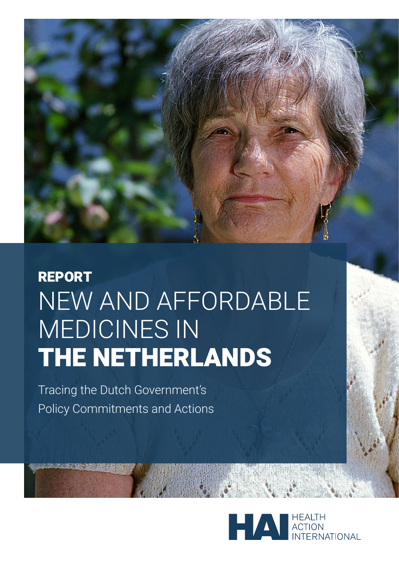

# REPORT NEW AND AFFORDABLE MEDICINES IN THE NETHERLANDS

Tracing the Dutch Government's Policy Commitments and Actions

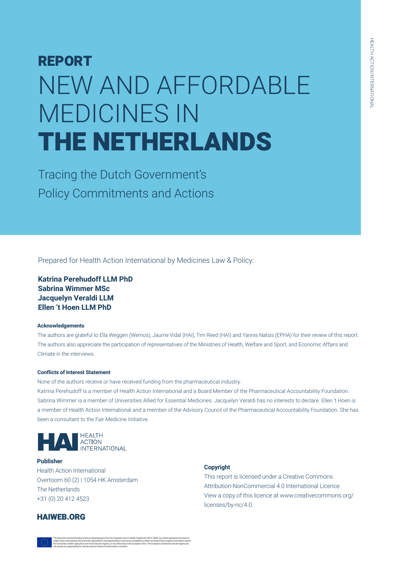# REPORT NEW AND AFFORDABLE MEDICINES IN THE NETHERLANDS

Tracing the Dutch Government's Policy Commitments and Actions

Prepared for Health Action International by Medicines Law & Policy:

**Katrina Perehudoff LLM PhD Sabrina Wimmer MSc Jacquelyn Veraldi LLM Ellen 't Hoen LLM PhD**

## **Acknowledgements**

The authors are grateful to Ella Weggen (Wemos), Jaume Vidal (HAI), Tim Reed (HAI) and Yannis Natsis (EPHA) for their review of this report. The authors also appreciate the participation of representatives of the Ministries of Health, Welfare and Sport, and Economic Affairs and Climate in the interviews.

## **Conflicts of Interest Statement**

None of the authors receive or have received funding from the pharmaceutical industry. Katrina Perehudoff is a member of Health Action International and a Board Member of the Pharmaceutical Accountability Foundation. Sabrina Wimmer is a member of Universities Allied for Essential Medicines. Jacquelyn Veraldi has no interests to declare. Ellen 't Hoen is a member of Health Action International and a member of the Advisory Council of the Pharmaceutical Accountability Foundation. She has been a consultant to the Fair Medicine Initiative.



**Publisher** Health Action International Overtoom 60 (2) | 1054 HK Amsterdam The Netherlands +31 (0) 20 412 4523

## **Copyright**

This report is licensed under a Creative Commons Attribution-NonCommercial 4.0 International Licence. View a copy of this licence at www.creativecommons.org/ licenses/by-nc/4.0.

## HAIWEB.ORG

national only and is the organisation's sole responsibility; it cannot be con<br>alth, Agriculture and Food Executive Agency, or any other body of the Eu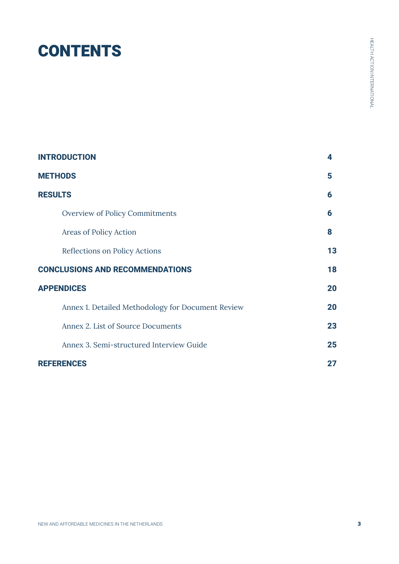# **CONTENTS**

| <b>INTRODUCTION</b><br>4                          |    |
|---------------------------------------------------|----|
| <b>METHODS</b>                                    | 5  |
| <b>RESULTS</b>                                    | 6  |
| <b>Overview of Policy Commitments</b>             | 6  |
| Areas of Policy Action                            | 8  |
| Reflections on Policy Actions                     | 13 |
| <b>CONCLUSIONS AND RECOMMENDATIONS</b>            |    |
| <b>APPENDICES</b>                                 | 20 |
| Annex 1. Detailed Methodology for Document Review | 20 |
| Annex 2. List of Source Documents                 | 23 |
| Annex 3. Semi-structured Interview Guide          | 25 |
| <b>REFERENCES</b>                                 | 27 |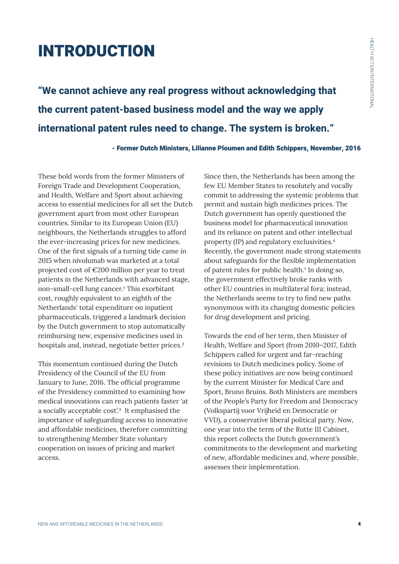# INTRODUCTION

**"We cannot achieve any real progress without acknowledging that the current patent-based business model and the way we apply international patent rules need to change. The system is broken."** 

- Former Dutch Ministers, Lilianne Ploumen and Edith Schippers, November, 2016

These bold words from the former Ministers of Foreign Trade and Development Cooperation, and Health, Welfare and Sport about achieving access to essential medicines for all set the Dutch government apart from most other European countries. Similar to its European Union (EU) neighbours, the Netherlands struggles to afford the ever-increasing prices for new medicines. One of the first signals of a turning tide came in 2015 when nivolumab was marketed at a total projected cost of €200 million per year to treat patients in the Netherlands with advanced stage, non-small-cell lung cancer.<sup>1</sup> This exorbitant cost, roughly equivalent to an eighth of the Netherlands' total expenditure on inpatient pharmaceuticals, triggered a landmark decision by the Dutch government to stop automatically reimbursing new, expensive medicines used in hospitals and, instead, negotiate better prices.<sup>2</sup>

This momentum continued during the Dutch Presidency of the Council of the EU from January to June, 2016. The official programme of the Presidency committed to examining how medical innovations can reach patients faster 'at a socially acceptable cost'.<sup>3</sup> It emphasised the importance of safeguarding access to innovative and affordable medicines, therefore committing to strengthening Member State voluntary cooperation on issues of pricing and market access.

Since then, the Netherlands has been among the few EU Member States to resolutely and vocally commit to addressing the systemic problems that permit and sustain high medicines prices. The Dutch government has openly questioned the business model for pharmaceutical innovation and its reliance on patent and other intellectual property (IP) and regulatory exclusivities.<sup>4</sup> Recently, the government made strong statements about safeguards for the flexible implementation of patent rules for public health. $5$  In doing so, the government effectively broke ranks with other EU countries in multilateral fora; instead, the Netherlands seems to try to find new paths synonymous with its changing domestic policies for drug development and pricing.

Towards the end of her term, then Minister of Health, Welfare and Sport (from 2010–2017, Edith Schippers called for urgent and far-reaching revisions to Dutch medicines policy. Some of these policy initiatives are now being continued by the current Minister for Medical Care and Sport, Bruno Bruins. Both Ministers are members of the People's Party for Freedom and Democracy (Volkspartij voor Vrijheid en Democratie or VVD), a conservative liberal political party. Now, one year into the term of the Rutte III Cabinet, this report collects the Dutch government's commitments to the development and marketing of new, affordable medicines and, where possible, assesses their implementation.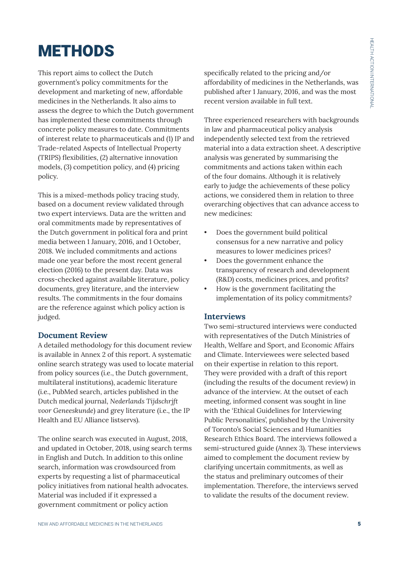# **METHODS**

This report aims to collect the Dutch government's policy commitments for the development and marketing of new, affordable medicines in the Netherlands. It also aims to assess the degree to which the Dutch government has implemented these commitments through concrete policy measures to date. Commitments of interest relate to pharmaceuticals and (1) IP and Trade-related Aspects of Intellectual Property (TRIPS) flexibilities, (2) alternative innovation models, (3) competition policy, and (4) pricing policy.

This is a mixed-methods policy tracing study, based on a document review validated through two expert interviews. Data are the written and oral commitments made by representatives of the Dutch government in political fora and print media between 1 January, 2016, and 1 October, 2018. We included commitments and actions made one year before the most recent general election (2016) to the present day. Data was cross-checked against available literature, policy documents, grey literature, and the interview results. The commitments in the four domains are the reference against which policy action is judged.

## **Document Review**

A detailed methodology for this document review is available in Annex 2 of this report. A systematic online search strategy was used to locate material from policy sources (i.e., the Dutch government, multilateral institutions), academic literature (i.e., PubMed search, articles published in the Dutch medical journal, *Nederlands Tijdschrjft voor Geneeskunde*) and grey literature (i.e., the IP Health and EU Alliance listservs).

The online search was executed in August, 2018, and updated in October, 2018, using search terms in English and Dutch. In addition to this online search, information was crowdsourced from experts by requesting a list of pharmaceutical policy initiatives from national health advocates. Material was included if it expressed a government commitment or policy action

specifically related to the pricing and/or affordability of medicines in the Netherlands, was published after 1 January, 2016, and was the most recent version available in full text.

Three experienced researchers with backgrounds in law and pharmaceutical policy analysis independently selected text from the retrieved material into a data extraction sheet. A descriptive analysis was generated by summarising the commitments and actions taken within each of the four domains. Although it is relatively early to judge the achievements of these policy actions, we considered them in relation to three overarching objectives that can advance access to new medicines:

- Does the government build political consensus for a new narrative and policy measures to lower medicines prices?
- Does the government enhance the transparency of research and development (R&D) costs, medicines prices, and profits?
- How is the government facilitating the implementation of its policy commitments?

## **Interviews**

Two semi-structured interviews were conducted with representatives of the Dutch Ministries of Health, Welfare and Sport, and Economic Affairs and Climate. Interviewees were selected based on their expertise in relation to this report. They were provided with a draft of this report (including the results of the document review) in advance of the interview. At the outset of each meeting, informed consent was sought in line with the 'Ethical Guidelines for Interviewing Public Personalities', published by the University of Toronto's Social Sciences and Humanities Research Ethics Board. The interviews followed a semi-structured guide (Annex 3). These interviews aimed to complement the document review by clarifying uncertain commitments, as well as the status and preliminary outcomes of their implementation. Therefore, the interviews served to validate the results of the document review.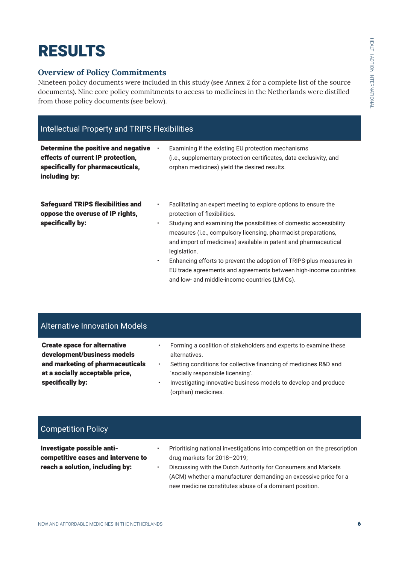# RESULTS

# **Overview of Policy Commitments**

Nineteen policy documents were included in this study (see Annex 2 for a complete list of the source documents). Nine core policy commitments to access to medicines in the Netherlands were distilled from those policy documents (see below).

| <b>Intellectual Property and TRIPS Flexibilities</b>                                                                           |                             |                                                                                                                                                                                                                                                                                                                                                                                                                                                                                                                        |
|--------------------------------------------------------------------------------------------------------------------------------|-----------------------------|------------------------------------------------------------------------------------------------------------------------------------------------------------------------------------------------------------------------------------------------------------------------------------------------------------------------------------------------------------------------------------------------------------------------------------------------------------------------------------------------------------------------|
| Determine the positive and negative<br>effects of current IP protection,<br>specifically for pharmaceuticals,<br>including by: |                             | Examining if the existing EU protection mechanisms<br>(i.e., supplementary protection certificates, data exclusivity, and<br>orphan medicines) yield the desired results.                                                                                                                                                                                                                                                                                                                                              |
| <b>Safeguard TRIPS flexibilities and</b><br>oppose the overuse of IP rights,<br>specifically by:                               | $\bullet$<br>٠<br>$\bullet$ | Facilitating an expert meeting to explore options to ensure the<br>protection of flexibilities.<br>Studying and examining the possibilities of domestic accessibility<br>measures (i.e., compulsory licensing, pharmacist preparations,<br>and import of medicines) available in patent and pharmaceutical<br>legislation.<br>Enhancing efforts to prevent the adoption of TRIPS-plus measures in<br>EU trade agreements and agreements between high-income countries<br>and low- and middle-income countries (LMICs). |

# Alternative Innovation Models

| <b>Create space for alternative</b><br>development/business models<br>and marketing of pharmaceuticals<br>at a socially acceptable price,<br>specifically by: | ٠<br>٠ | Forming a coalition of stakeholders and experts to examine these<br>alternatives.<br>Setting conditions for collective financing of medicines R&D and<br>'socially responsible licensing'.<br>Investigating innovative business models to develop and produce |
|---------------------------------------------------------------------------------------------------------------------------------------------------------------|--------|---------------------------------------------------------------------------------------------------------------------------------------------------------------------------------------------------------------------------------------------------------------|
|                                                                                                                                                               |        | (orphan) medicines.                                                                                                                                                                                                                                           |

# Competition Policy

Investigate possible anticompetitive cases and intervene to reach a solution, including by:

- Prioritising national investigations into competition on the prescription drug markets for 2018–2019;
- Discussing with the Dutch Authority for Consumers and Markets (ACM) whether a manufacturer demanding an excessive price for a new medicine constitutes abuse of a dominant position.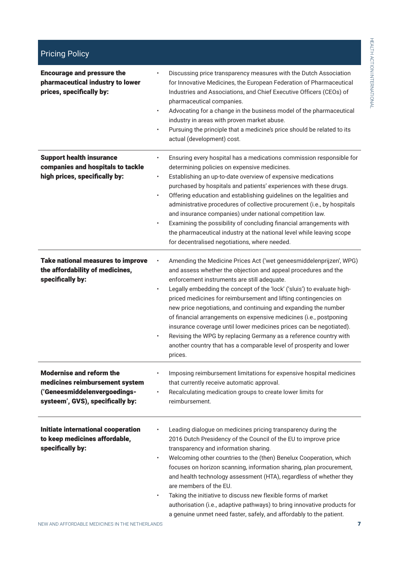| <b>Encourage and pressure the</b><br>pharmaceutical industry to lower<br>prices, specifically by:                                     | Discussing price transparency measures with the Dutch Association<br>for Innovative Medicines, the European Federation of Pharmaceutical<br>Industries and Associations, and Chief Executive Officers (CEOs) of<br>pharmaceutical companies.<br>Advocating for a change in the business model of the pharmaceutical<br>industry in areas with proven market abuse.<br>Pursuing the principle that a medicine's price should be related to its<br>actual (development) cost.                                                                                                                                                                                                                                            |
|---------------------------------------------------------------------------------------------------------------------------------------|------------------------------------------------------------------------------------------------------------------------------------------------------------------------------------------------------------------------------------------------------------------------------------------------------------------------------------------------------------------------------------------------------------------------------------------------------------------------------------------------------------------------------------------------------------------------------------------------------------------------------------------------------------------------------------------------------------------------|
| <b>Support health insurance</b><br>companies and hospitals to tackle<br>high prices, specifically by:                                 | Ensuring every hospital has a medications commission responsible for<br>$\bullet$<br>determining policies on expensive medicines.<br>Establishing an up-to-date overview of expensive medications<br>$\bullet$<br>purchased by hospitals and patients' experiences with these drugs.<br>Offering education and establishing guidelines on the legalities and<br>administrative procedures of collective procurement (i.e., by hospitals<br>and insurance companies) under national competition law.<br>Examining the possibility of concluding financial arrangements with<br>the pharmaceutical industry at the national level while leaving scope<br>for decentralised negotiations, where needed.                   |
| <b>Take national measures to improve</b><br>the affordability of medicines,<br>specifically by:                                       | Amending the Medicine Prices Act ('wet geneesmiddelenprijzen', WPG)<br>and assess whether the objection and appeal procedures and the<br>enforcement instruments are still adequate.<br>Legally embedding the concept of the 'lock' ('sluis') to evaluate high-<br>$\bullet$<br>priced medicines for reimbursement and lifting contingencies on<br>new price negotiations, and continuing and expanding the number<br>of financial arrangements on expensive medicines (i.e., postponing<br>insurance coverage until lower medicines prices can be negotiated).<br>Revising the WPG by replacing Germany as a reference country with<br>another country that has a comparable level of prosperity and lower<br>prices. |
| <b>Modernise and reform the</b><br>medicines reimbursement system<br>('Geneesmiddelenvergoedings-<br>systeem', GVS), specifically by: | Imposing reimbursement limitations for expensive hospital medicines<br>that currently receive automatic approval.<br>Recalculating medication groups to create lower limits for<br>reimbursement.                                                                                                                                                                                                                                                                                                                                                                                                                                                                                                                      |
| <b>Initiate international cooperation</b><br>to keep medicines affordable,<br>specifically by:                                        | Leading dialogue on medicines pricing transparency during the<br>2016 Dutch Presidency of the Council of the EU to improve price<br>transparency and information sharing.<br>Welcoming other countries to the (then) Benelux Cooperation, which<br>$\bullet$<br>focuses on horizon scanning, information sharing, plan procurement,<br>and health technology assessment (HTA), regardless of whether they<br>are members of the EU.<br>Taking the initiative to discuss new flexible forms of market<br>$\bullet$<br>authorisation (i.e., adaptive pathways) to bring innovative products for<br>a genuine unmet need faster, safely, and affordably to the patient.                                                   |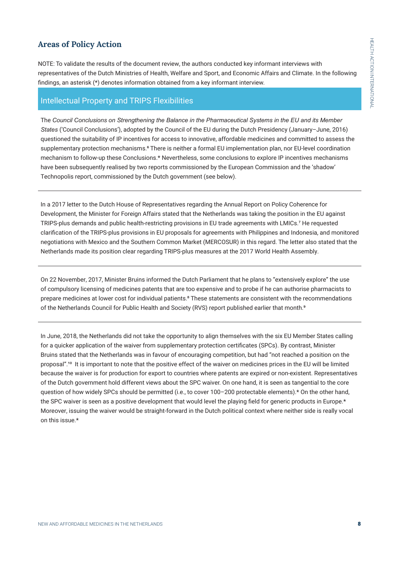## **Areas of Policy Action**

NOTE: To validate the results of the document review, the authors conducted key informant interviews with representatives of the Dutch Ministries of Health, Welfare and Sport, and Economic Affairs and Climate. In the following findings, an asterisk (\*) denotes information obtained from a key informant interview.

## Intellectual Property and TRIPS Flexibilities

The *Council Conclusions on Strengthening the Balance in the Pharmaceutical Systems in the EU and its Member States* ('Council Conclusions'), adopted by the Council of the EU during the Dutch Presidency (January–June, 2016) questioned the suitability of IP incentives for access to innovative, affordable medicines and committed to assess the supplementary protection mechanisms.<sup>6</sup> There is neither a formal EU implementation plan, nor EU-level coordination mechanism to follow-up these Conclusions.\* Nevertheless, some conclusions to explore IP incentives mechanisms have been subsequently realised by two reports commissioned by the European Commission and the 'shadow' Technopolis report, commissioned by the Dutch government (see below).

In a 2017 letter to the Dutch House of Representatives regarding the Annual Report on Policy Coherence for Development, the Minister for Foreign Affairs stated that the Netherlands was taking the position in the EU against TRIPS-plus demands and public health-restricting provisions in EU trade agreements with LMICs.7 He requested clarification of the TRIPS-plus provisions in EU proposals for agreements with Philippines and Indonesia, and monitored negotiations with Mexico and the Southern Common Market (MERCOSUR) in this regard. The letter also stated that the Netherlands made its position clear regarding TRIPS-plus measures at the 2017 World Health Assembly.

On 22 November, 2017, Minister Bruins informed the Dutch Parliament that he plans to "extensively explore" the use of compulsory licensing of medicines patents that are too expensive and to probe if he can authorise pharmacists to prepare medicines at lower cost for individual patients.<sup>8</sup> These statements are consistent with the recommendations of the Netherlands Council for Public Health and Society (RVS) report published earlier that month.<sup>9</sup>

In June, 2018, the Netherlands did not take the opportunity to align themselves with the six EU Member States calling for a quicker application of the waiver from supplementary protection certificates (SPCs). By contrast, Minister Bruins stated that the Netherlands was in favour of encouraging competition, but had "not reached a position on the proposal".10 It is important to note that the positive effect of the waiver on medicines prices in the EU will be limited because the waiver is for production for export to countries where patents are expired or non-existent. Representatives of the Dutch government hold different views about the SPC waiver. On one hand, it is seen as tangential to the core question of how widely SPCs should be permitted (i.e., to cover 100–200 protectable elements).\* On the other hand, the SPC waiver is seen as a positive development that would level the playing field for generic products in Europe.\* Moreover, issuing the waiver would be straight-forward in the Dutch political context where neither side is really vocal on this issue.\*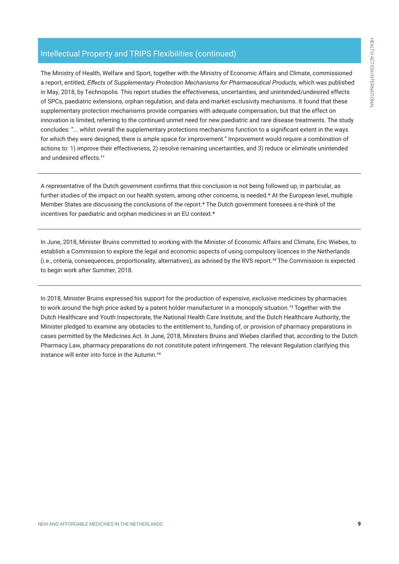# Intellectual Property and TRIPS Flexibilities (continued)

The Ministry of Health, Welfare and Sport, together with the Ministry of Economic Affairs and Climate, commissioned a report, entitled, *Effects of Supplementary Protection Mechanisms for Pharmaceutical Products*, which was published in May, 2018, by Technopolis. This report studies the effectiveness, uncertainties, and unintended/undesired effects of SPCs, paediatric extensions, orphan regulation, and data and market exclusivity mechanisms. It found that these supplementary protection mechanisms provide companies with adequate compensation, but that the effect on innovation is limited, referring to the continued unmet need for new paediatric and rare disease treatments. The study concludes: "... whilst overall the supplementary protections mechanisms function to a significant extent in the ways for which they were designed, there is ample space for improvement." Improvement would require a combination of actions to: 1) improve their effectiveness, 2) resolve remaining uncertainties, and 3) reduce or eliminate unintended and undesired effects.<sup>11</sup>

A representative of the Dutch government confirms that this conclusion is not being followed up, in particular, as further studies of the impact on our health system, among other concerns, is needed.\* At the European level, multiple Member States are discussing the conclusions of the report.\* The Dutch government foresees a re-think of the incentives for paediatric and orphan medicines in an EU context.\*

In June, 2018, Minister Bruins committed to working with the Minister of Economic Affairs and Climate, Eric Wiebes, to establish a Commission to explore the legal and economic aspects of using compulsory licences in the Netherlands (i.e., criteria, consequences, proportionality, alternatives), as advised by the RVS report.1² The Commission is expected to begin work after Summer, 2018.

In 2018, Minister Bruins expressed his support for the production of expensive, exclusive medicines by pharmacies to work around the high price asked by a patent holder manufacturer in a monopoly situation.<sup>13</sup> Together with the Dutch Healthcare and Youth Inspectorate, the National Health Care Institute, and the Dutch Healthcare Authority, the Minister pledged to examine any obstacles to the entitlement to, funding of, or provision of pharmacy preparations in cases permitted by the Medicines Act. In June, 2018, Ministers Bruins and Wiebes clarified that, according to the Dutch Pharmacy Law, pharmacy preparations do not constitute patent infringement. The relevant Regulation clarifying this instance will enter into force in the Autumn.<sup>14</sup>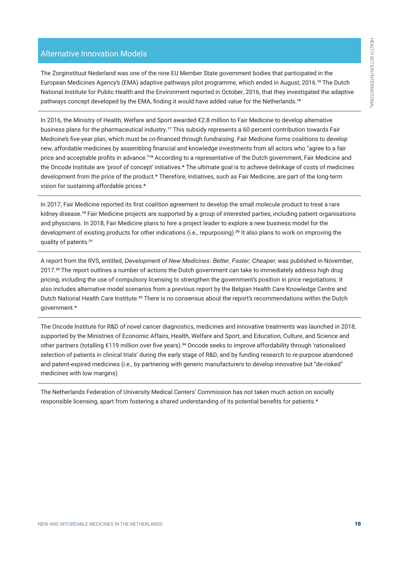# Alternative Innovation Models

The Zorginstituut Nederland was one of the nine EU Member State government bodies that participated in the European Medicines Agency's (EMA) adaptive pathways pilot programme, which ended in August, 2016.15 The Dutch National Institute for Public Health and the Environment reported in October, 2016, that they investigated the adaptive pathways concept developed by the EMA, finding it would have added value for the Netherlands.16

In 2016, the Ministry of Health, Welfare and Sport awarded €2.8 million to Fair Medicine to develop alternative business plans for the pharmaceutical industry.17 This subsidy represents a 60 percent contribution towards Fair Medicine's five-year plan, which must be co-financed through fundraising. Fair Medicine forms coalitions to develop new, affordable medicines by assembling financial and knowledge investments from all actors who "agree to a fair price and acceptable profits in advance."18 According to a representative of the Dutch government, Fair Medicine and the Oncode Institute are 'proof of concept' initiatives.\* The ultimate goal is to achieve delinkage of costs of medicines development from the price of the product.\* Therefore, initiatives, such as Fair Medicine, are part of the long-term vision for sustaining affordable prices.\*

In 2017, Fair Medicine reported its first coalition agreement to develop the small molecule product to treat a rare kidney disease.19 Fair Medicine projects are supported by a group of interested parties, including patient organisations and physicians. In 2018, Fair Medicine plans to hire a project leader to explore a new business model for the development of existing products for other indications (i.e., repurposing).<sup>20</sup> It also plans to work on improving the quality of patents.²1

A report from the RVS, entitled, *Development of New Medicines: Better, Faster, Cheaper,* was published in November, 2017.<sup>22</sup> The report outlines a number of actions the Dutch government can take to immediately address high drug pricing, including the use of compulsory licensing to strengthen the government's position in price negotiations. It also includes alternative model scenarios from a previous report by the Belgian Health Care Knowledge Centre and Dutch National Health Care Institute.<sup>23</sup> There is no consensus about the report's recommendations within the Dutch government.\*

The Oncode Institute for R&D of novel cancer diagnostics, medicines and innovative treatments was launched in 2018, supported by the Ministries of Economic Affairs, Health, Welfare and Sport, and Education, Culture, and Science and other partners (totalling €119 million over five years).24 Oncode seeks to improve affordability through 'rationalised selection of patients in clinical trials' during the early stage of R&D, and by funding research to re-purpose abandoned and patent-expired medicines (i.e., by partnering with generic manufacturers to develop innovative but "de-risked" medicines with low margins).

The Netherlands Federation of University Medical Centers' Commission has not taken much action on socially responsible licensing, apart from fostering a shared understanding of its potential benefits for patients.\*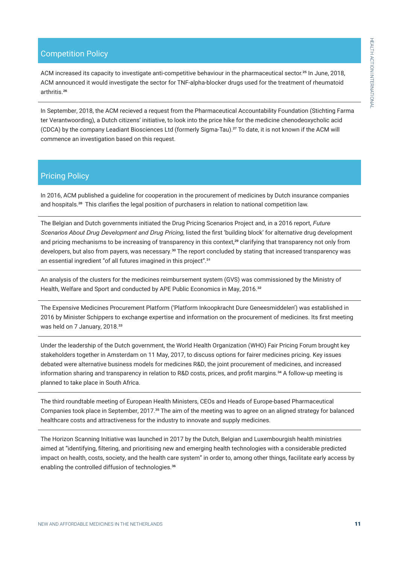# Competition Policy

ACM increased its capacity to investigate anti-competitive behaviour in the pharmaceutical sector.<sup>25</sup> In June, 2018, ACM announced it would investigate the sector for TNF-alpha-blocker drugs used for the treatment of rheumatoid arthritis.<sup>26</sup>

In September, 2018, the ACM recieved a request from the Pharmaceutical Accountability Foundation (Stichting Farma ter Verantwoording), a Dutch citizens' initiative, to look into the price hike for the medicine chenodeoxycholic acid (CDCA) by the company Leadiant Biosciences Ltd (formerly Sigma-Tau).27 To date, it is not known if the ACM will commence an investigation based on this request.

## Pricing Policy

In 2016, ACM published a guideline for cooperation in the procurement of medicines by Dutch insurance companies and hospitals.28 This clarifies the legal position of purchasers in relation to national competition law.

The Belgian and Dutch governments initiated the Drug Pricing Scenarios Project and, in a 2016 report, *Future Scenarios About Drug Development and Drug Pricing*, listed the first 'building block' for alternative drug development and pricing mechanisms to be increasing of transparency in this context,<sup>29</sup> clarifying that transparency not only from developers, but also from payers, was necessary.<sup>30</sup> The report concluded by stating that increased transparency was an essential ingredient "of all futures imagined in this project".<sup>31</sup>

An analysis of the clusters for the medicines reimbursement system (GVS) was commissioned by the Ministry of Health, Welfare and Sport and conducted by APE Public Economics in May, 2016.<sup>32</sup>

The Expensive Medicines Procurement Platform ('Platform Inkoopkracht Dure Geneesmiddelen') was established in 2016 by Minister Schippers to exchange expertise and information on the procurement of medicines. Its first meeting was held on 7 January, 2018.<sup>33</sup>

Under the leadership of the Dutch government, the World Health Organization (WHO) Fair Pricing Forum brought key stakeholders together in Amsterdam on 11 May, 2017, to discuss options for fairer medicines pricing. Key issues debated were alternative business models for medicines R&D, the joint procurement of medicines, and increased information sharing and transparency in relation to R&D costs, prices, and profit margins.<sup>34</sup> A follow-up meeting is planned to take place in South Africa.

The third roundtable meeting of European Health Ministers, CEOs and Heads of Europe-based Pharmaceutical Companies took place in September, 2017.<sup>35</sup> The aim of the meeting was to agree on an aligned strategy for balanced healthcare costs and attractiveness for the industry to innovate and supply medicines.

The Horizon Scanning Initiative was launched in 2017 by the Dutch, Belgian and Luxembourgish health ministries aimed at "identifying, filtering, and prioritising new and emerging health technologies with a considerable predicted impact on health, costs, society, and the health care system" in order to, among other things, facilitate early access by enabling the controlled diffusion of technologies.<sup>36</sup>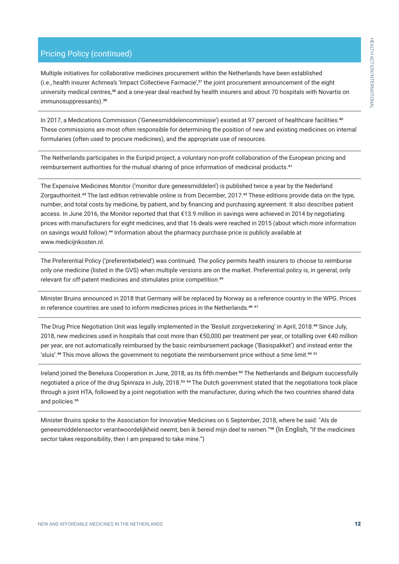# Pricing Policy (continued)

Multiple initiatives for collaborative medicines procurement within the Netherlands have been established (i.e., health insurer Achmea's 'Impact Collectieve Farmacie',37 the joint procurement announcement of the eight university medical centres,<sup>38</sup> and a one-year deal reached by health insurers and about 70 hospitals with Novartis on immunosuppressants).<sup>39</sup>

In 2017, a Medications Commission ('Geneesmiddelencommissie') existed at 97 percent of healthcare facilities.<sup>40</sup> These commissions are most often responsible for determining the position of new and existing medicines on internal formularies (often used to procure medicines), and the appropriate use of resources.

The Netherlands participates in the Euripid project, a voluntary non-profit collaboration of the European pricing and reimbursement authorities for the mutual sharing of price information of medicinal products.<sup>41</sup>

The Expensive Medicines Monitor ('monitor dure geneesmiddelen') is published twice a year by the Nederland Zorgauthoriteit.42 The last edition retrievable online is from December, 2017.43 These editions provide data on the type, number, and total costs by medicine, by patient, and by financing and purchasing agreement. It also describes patient access. In June 2016, the Monitor reported that that €13.9 million in savings were achieved in 2014 by negotiating prices with manufacturers for eight medicines, and that 16 deals were reached in 2015 (about which more information on savings would follow).44 Information about the pharmacy purchase price is publicly available at www.medicijnkosten.nl.

The Preferential Policy ('preferentiebeleid') was continued. The policy permits health insurers to choose to reimburse only one medicine (listed in the GVS) when multiple versions are on the market. Preferential policy is, in general, only relevant for off-patent medicines and stimulates price competition.<sup>45</sup>

Minister Bruins announced in 2018 that Germany will be replaced by Norway as a reference country in the WPG. Prices in reference countries are used to inform medicines prices in the Netherlands.<sup>46 47</sup>

The Drug Price Negotiation Unit was legally implemented in the 'Besluit zorgverzekering' in April, 2018.48 Since July, 2018, new medicines used in hospitals that cost more than €50,000 per treatment per year, or totalling over €40 million per year, are not automatically reimbursed by the basic reimbursement package ('Basispakket') and instead enter the 'sluis'.<sup>49</sup> This move allows the government to negotiate the reimbursement price without a time limit.<sup>50</sup> <sup>51</sup>

Ireland joined the Beneluxa Cooperation in June, 2018, as its fifth member.<sup>52</sup> The Netherlands and Belgium successfully negotiated a price of the drug Spinraza in July, 2018.53 54 The Dutch government stated that the negotiations took place through a joint HTA, followed by a joint negotiation with the manufacturer, during which the two countries shared data and policies.<sup>55</sup>

Minister Bruins spoke to the Association for Innovative Medicines on 6 September, 2018, where he said: "Als de geneesmiddelensector verantwoordelijkheid neemt, ben ik bereid mijn deel te nemen."56 (In English, "If the medicines sector takes responsibility, then I am prepared to take mine.")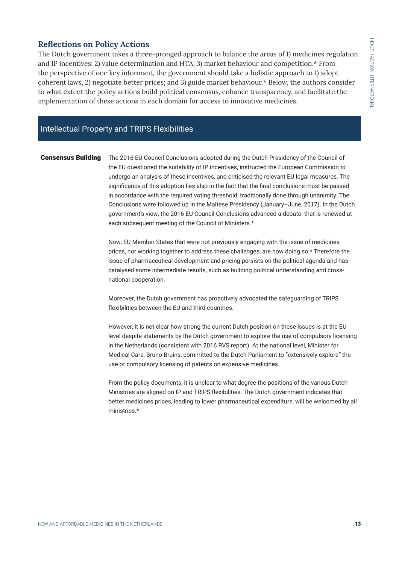# **Reflections on Policy Actions**

The Dutch government takes a three-pronged approach to balance the areas of 1) medicines regulation and IP incentives; 2) value determination and HTA; 3) market behaviour and competition.\* From the perspective of one key informant, the government should take a holistic approach to 1) adopt coherent laws, 2) negotiate better prices; and 3) guide market behaviour.\* Below, the authors consider to what extent the policy actions build political consensus, enhance transparency, and facilitate the implementation of these actions in each domain for access to innovative medicines.

# Intellectual Property and TRIPS Flexibilities

**Consensus Building** The 2016 EU Council Conclusions adopted during the Dutch Presidency of the Council of the EU questioned the suitability of IP incentives, instructed the European Commission to undergo an analysis of these incentives, and criticised the relevant EU legal measures. The significance of this adoption lies also in the fact that the final conclusions must be passed in accordance with the required voting threshold, traditionally done through unanimity. The Conclusions were followed up in the Maltese Presidency (January–June, 2017). In the Dutch government's view, the 2016 EU Council Conclusions advanced a debate that is renewed at each subsequent meeting of the Council of Ministers.\*

> Now, EU Member States that were not previously engaging with the issue of medicines prices, nor working together to address these challenges, are now doing so.\* Therefore the issue of pharmaceutical development and pricing persists on the political agenda and has catalysed some intermediate results, such as building political understanding and crossnational cooperation.

Moreover, the Dutch government has proactively advocated the safeguarding of TRIPS flexibilities between the EU and third countries.

However, it is not clear how strong the current Dutch position on these issues is at the EU level despite statements by the Dutch government to explore the use of compulsory licensing in the Netherlands (consistent with 2016 RVS report). At the national level, Minister for Medical Care, Bruno Bruins, committed to the Dutch Parliament to "extensively explore" the use of compulsory licensing of patents on expensive medicines.

From the policy documents, it is unclear to what degree the positions of the various Dutch Ministries are aligned on IP and TRIPS flexibilities. The Dutch government indicates that better medicines prices, leading to lower pharmaceutical expenditure, will be welcomed by all ministries.\*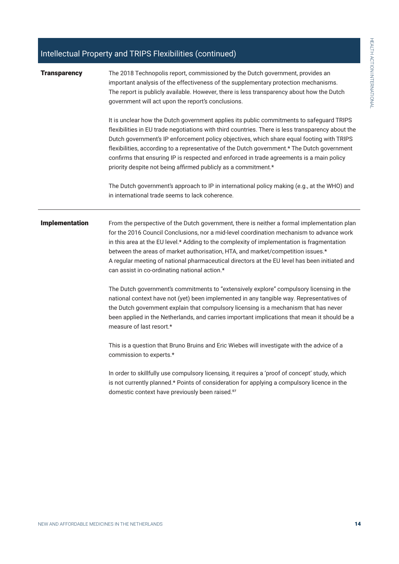# Intellectual Property and TRIPS Flexibilities (continued)

| <b>Transparency</b>   |                                                                                                                                                                                                                                                                                                                                                                                                                                                                                                                                                         |  |  |  |  |  |  |
|-----------------------|---------------------------------------------------------------------------------------------------------------------------------------------------------------------------------------------------------------------------------------------------------------------------------------------------------------------------------------------------------------------------------------------------------------------------------------------------------------------------------------------------------------------------------------------------------|--|--|--|--|--|--|
|                       | The 2018 Technopolis report, commissioned by the Dutch government, provides an<br>important analysis of the effectiveness of the supplementary protection mechanisms.<br>The report is publicly available. However, there is less transparency about how the Dutch<br>government will act upon the report's conclusions.                                                                                                                                                                                                                                |  |  |  |  |  |  |
|                       | It is unclear how the Dutch government applies its public commitments to safeguard TRIPS<br>flexibilities in EU trade negotiations with third countries. There is less transparency about the<br>Dutch government's IP enforcement policy objectives, which share equal footing with TRIPS<br>flexibilities, according to a representative of the Dutch government.* The Dutch government<br>confirms that ensuring IP is respected and enforced in trade agreements is a main policy<br>priority despite not being affirmed publicly as a commitment.* |  |  |  |  |  |  |
|                       | The Dutch government's approach to IP in international policy making (e.g., at the WHO) and<br>in international trade seems to lack coherence.                                                                                                                                                                                                                                                                                                                                                                                                          |  |  |  |  |  |  |
| <b>Implementation</b> | From the perspective of the Dutch government, there is neither a formal implementation plan<br>for the 2016 Council Conclusions, nor a mid-level coordination mechanism to advance work<br>in this area at the EU level.* Adding to the complexity of implementation is fragmentation<br>between the areas of market authorisation, HTA, and market/competition issues.*<br>A regular meeting of national pharmaceutical directors at the EU level has been initiated and<br>can assist in co-ordinating national action.*                              |  |  |  |  |  |  |
|                       | The Dutch government's commitments to "extensively explore" compulsory licensing in the<br>national context have not (yet) been implemented in any tangible way. Representatives of<br>the Dutch government explain that compulsory licensing is a mechanism that has never<br>been applied in the Netherlands, and carries important implications that mean it should be a<br>measure of last resort.*                                                                                                                                                 |  |  |  |  |  |  |
|                       | This is a question that Bruno Bruins and Eric Wiebes will investigate with the advice of a<br>commission to experts.*                                                                                                                                                                                                                                                                                                                                                                                                                                   |  |  |  |  |  |  |
|                       | In order to skillfully use compulsory licensing, it requires a 'proof of concept' study, which<br>is not currently planned.* Points of consideration for applying a compulsory licence in the<br>domestic context have previously been raised. <sup>57</sup>                                                                                                                                                                                                                                                                                            |  |  |  |  |  |  |
|                       |                                                                                                                                                                                                                                                                                                                                                                                                                                                                                                                                                         |  |  |  |  |  |  |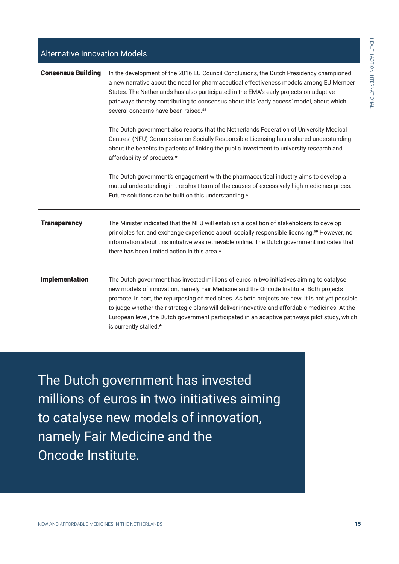| <b>Alternative Innovation Models</b> |                                                                                                                                                                                                                                                                                                                                                                                                                                                                                                                      |  |
|--------------------------------------|----------------------------------------------------------------------------------------------------------------------------------------------------------------------------------------------------------------------------------------------------------------------------------------------------------------------------------------------------------------------------------------------------------------------------------------------------------------------------------------------------------------------|--|
| <b>Consensus Building</b>            | In the development of the 2016 EU Council Conclusions, the Dutch Presidency championed<br>a new narrative about the need for pharmaceutical effectiveness models among EU Member<br>States. The Netherlands has also participated in the EMA's early projects on adaptive<br>pathways thereby contributing to consensus about this 'early access' model, about which<br>several concerns have been raised. <sup>58</sup>                                                                                             |  |
|                                      | The Dutch government also reports that the Netherlands Federation of University Medical<br>Centres' (NFU) Commission on Socially Responsible Licensing has a shared understanding<br>about the benefits to patients of linking the public investment to university research and<br>affordability of products.*                                                                                                                                                                                                       |  |
|                                      | The Dutch government's engagement with the pharmaceutical industry aims to develop a<br>mutual understanding in the short term of the causes of excessively high medicines prices.<br>Future solutions can be built on this understanding.*                                                                                                                                                                                                                                                                          |  |
| <b>Transparency</b>                  | The Minister indicated that the NFU will establish a coalition of stakeholders to develop<br>principles for, and exchange experience about, socially responsible licensing. <sup>59</sup> However, no<br>information about this initiative was retrievable online. The Dutch government indicates that<br>there has been limited action in this area.*                                                                                                                                                               |  |
| <b>Implementation</b>                | The Dutch government has invested millions of euros in two initiatives aiming to catalyse<br>new models of innovation, namely Fair Medicine and the Oncode Institute. Both projects<br>promote, in part, the repurposing of medicines. As both projects are new, it is not yet possible<br>to judge whether their strategic plans will deliver innovative and affordable medicines. At the<br>European level, the Dutch government participated in an adaptive pathways pilot study, which<br>is currently stalled.* |  |

The Dutch government has invested millions of euros in two initiatives aiming to catalyse new models of innovation, namely Fair Medicine and the Oncode Institute.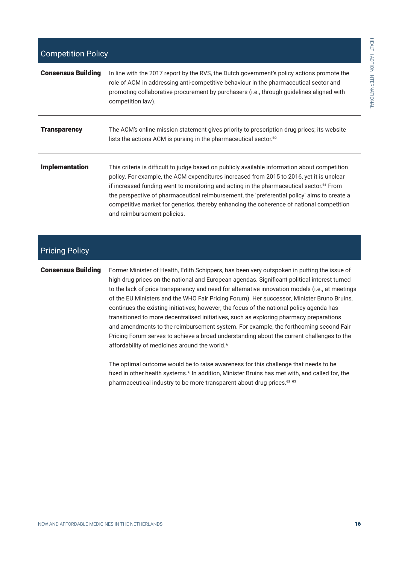| <b>Consensus Building</b> | In line with the 2017 report by the RVS, the Dutch government's policy actions promote the<br>role of ACM in addressing anti-competitive behaviour in the pharmaceutical sector and<br>promoting collaborative procurement by purchasers (i.e., through guidelines aligned with<br>competition law).                                                                                                                                                                                                                       |
|---------------------------|----------------------------------------------------------------------------------------------------------------------------------------------------------------------------------------------------------------------------------------------------------------------------------------------------------------------------------------------------------------------------------------------------------------------------------------------------------------------------------------------------------------------------|
| <b>Transparency</b>       | The ACM's online mission statement gives priority to prescription drug prices; its website<br>lists the actions ACM is pursing in the pharmaceutical sector. <sup>60</sup>                                                                                                                                                                                                                                                                                                                                                 |
| <b>Implementation</b>     | This criteria is difficult to judge based on publicly available information about competition<br>policy. For example, the ACM expenditures increased from 2015 to 2016, yet it is unclear<br>if increased funding went to monitoring and acting in the pharmaceutical sector. <sup>61</sup> From<br>the perspective of pharmaceutical reimbursement, the 'preferential policy' aims to create a<br>competitive market for generics, thereby enhancing the coherence of national competition<br>and reimbursement policies. |

# Pricing Policy

**Consensus Building** Former Minister of Health, Edith Schippers, has been very outspoken in putting the issue of high drug prices on the national and European agendas. Significant political interest turned to the lack of price transparency and need for alternative innovation models (i.e., at meetings of the EU Ministers and the WHO Fair Pricing Forum). Her successor, Minister Bruno Bruins, continues the existing initiatives; however, the focus of the national policy agenda has transitioned to more decentralised initiatives, such as exploring pharmacy preparations and amendments to the reimbursement system. For example, the forthcoming second Fair Pricing Forum serves to achieve a broad understanding about the current challenges to the affordability of medicines around the world.\*

> The optimal outcome would be to raise awareness for this challenge that needs to be fixed in other health systems.\* In addition, Minister Bruins has met with, and called for, the pharmaceutical industry to be more transparent about drug prices.<sup>62 63</sup>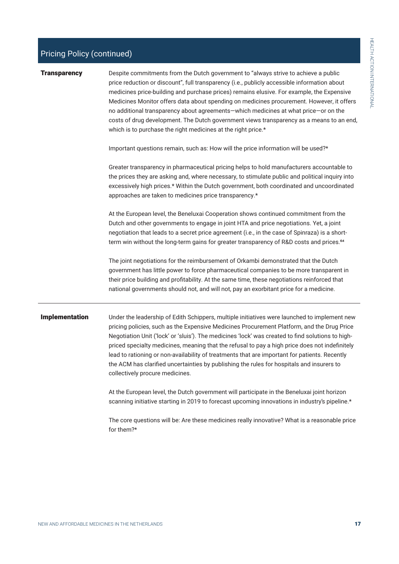# Pricing Policy (continued)

| <b>Transparency</b> | Despite commitments from the Dutch government to "always strive to achieve a public<br>price reduction or discount", full transparency (i.e., publicly accessible information about<br>medicines price-building and purchase prices) remains elusive. For example, the Expensive<br>Medicines Monitor offers data about spending on medicines procurement. However, it offers<br>no additional transparency about agreements-which medicines at what price-or on the<br>costs of drug development. The Dutch government views transparency as a means to an end,<br>which is to purchase the right medicines at the right price.* |
|---------------------|-----------------------------------------------------------------------------------------------------------------------------------------------------------------------------------------------------------------------------------------------------------------------------------------------------------------------------------------------------------------------------------------------------------------------------------------------------------------------------------------------------------------------------------------------------------------------------------------------------------------------------------|
|                     | Important questions remain, such as: How will the price information will be used?*                                                                                                                                                                                                                                                                                                                                                                                                                                                                                                                                                |
|                     | Greater transparency in pharmaceutical pricing helps to hold manufacturers accountable to<br>the prices they are asking and, where necessary, to stimulate public and political inquiry into<br>excessively high prices.* Within the Dutch government, both coordinated and uncoordinated<br>approaches are taken to medicines price transparency.*                                                                                                                                                                                                                                                                               |
|                     | At the European level, the Beneluxai Cooperation shows continued commitment from the<br>Dutch and other governments to engage in joint HTA and price negotiations. Yet, a joint<br>negotiation that leads to a secret price agreement (i.e., in the case of Spinraza) is a short-<br>term win without the long-term gains for greater transparency of R&D costs and prices. <sup>64</sup>                                                                                                                                                                                                                                         |
|                     | The joint negotiations for the reimbursement of Orkambi demonstrated that the Dutch<br>government has little power to force pharmaceutical companies to be more transparent in<br>their price building and profitability. At the same time, these negotiations reinforced that                                                                                                                                                                                                                                                                                                                                                    |

**Implementation** Under the leadership of Edith Schippers, multiple initiatives were launched to implement new pricing policies, such as the Expensive Medicines Procurement Platform, and the Drug Price Negotiation Unit ('lock' or 'sluis'). The medicines 'lock' was created to find solutions to highpriced specialty medicines, meaning that the refusal to pay a high price does not indefinitely lead to rationing or non-availability of treatments that are important for patients. Recently the ACM has clarified uncertainties by publishing the rules for hospitals and insurers to collectively procure medicines.

national governments should not, and will not, pay an exorbitant price for a medicine.

At the European level, the Dutch government will participate in the Beneluxai joint horizon scanning initiative starting in 2019 to forecast upcoming innovations in industry's pipeline.\*

The core questions will be: Are these medicines really innovative? What is a reasonable price for them?\*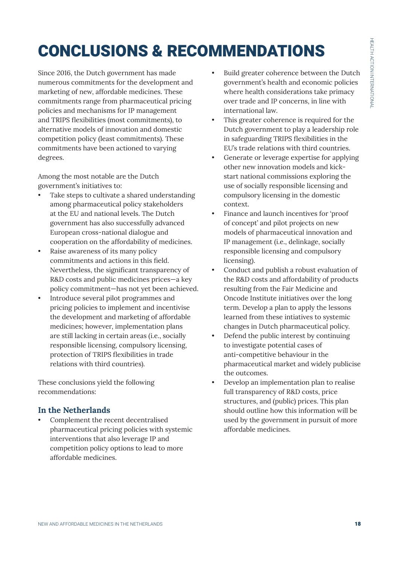# CONCLUSIONS & RECOMMENDATIONS

Since 2016, the Dutch government has made numerous commitments for the development and marketing of new, affordable medicines. These commitments range from pharmaceutical pricing policies and mechanisms for IP management and TRIPS flexibilities (most commitments), to alternative models of innovation and domestic competition policy (least commitments). These commitments have been actioned to varying degrees.

Among the most notable are the Dutch government's initiatives to:

- Take steps to cultivate a shared understanding among pharmaceutical policy stakeholders at the EU and national levels. The Dutch government has also successfully advanced European cross-national dialogue and cooperation on the affordability of medicines.
- Raise awareness of its many policy commitments and actions in this field. Nevertheless, the significant transparency of R&D costs and public medicines prices—a key policy commitment—has not yet been achieved.
- Introduce several pilot programmes and pricing policies to implement and incentivise the development and marketing of affordable medicines; however, implementation plans are still lacking in certain areas (i.e., socially responsible licensing, compulsory licensing, protection of TRIPS flexibilities in trade relations with third countries).

These conclusions yield the following recommendations:

# **In the Netherlands**

Complement the recent decentralised pharmaceutical pricing policies with systemic interventions that also leverage IP and competition policy options to lead to more affordable medicines.

- Build greater coherence between the Dutch government's health and economic policies where health considerations take primacy over trade and IP concerns, in line with international law.
- This greater coherence is required for the Dutch government to play a leadership role in safeguarding TRIPS flexibilities in the EU's trade relations with third countries.
- Generate or leverage expertise for applying other new innovation models and kickstart national commissions exploring the use of socially responsible licensing and compulsory licensing in the domestic context.
- Finance and launch incentives for 'proof of concept' and pilot projects on new models of pharmaceutical innovation and IP management (i.e., delinkage, socially responsible licensing and compulsory licensing).
- Conduct and publish a robust evaluation of the R&D costs and affordability of products resulting from the Fair Medicine and Oncode Institute initiatives over the long term. Develop a plan to apply the lessons learned from these intiatives to systemic changes in Dutch pharmaceutical policy.
- Defend the public interest by continuing to investigate potential cases of anti-competitive behaviour in the pharmaceutical market and widely publicise the outcomes.
- Develop an implementation plan to realise full transparency of R&D costs, price structures, and (public) prices. This plan should outline how this information will be used by the government in pursuit of more affordable medicines.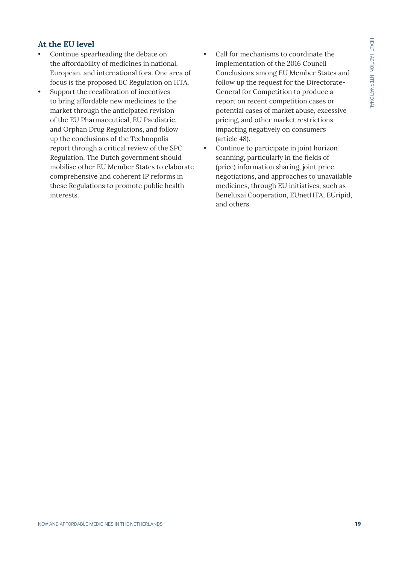# **At the EU level**

- Continue spearheading the debate on the affordability of medicines in national, European, and international fora. One area of focus is the proposed EC Regulation on HTA.
- Support the recalibration of incentives to bring affordable new medicines to the market through the anticipated revision of the EU Pharmaceutical, EU Paediatric, and Orphan Drug Regulations, and follow up the conclusions of the Technopolis report through a critical review of the SPC Regulation. The Dutch government should mobilise other EU Member States to elaborate comprehensive and coherent IP reforms in these Regulations to promote public health interests.
- Call for mechanisms to coordinate the implementation of the 2016 Council Conclusions among EU Member States and follow up the request for the Directorate-General for Competition to produce a report on recent competition cases or potential cases of market abuse, excessive pricing, and other market restrictions impacting negatively on consumers (article 48).
- Continue to participate in joint horizon scanning, particularly in the fields of (price) information sharing, joint price negotiations, and approaches to unavailable medicines, through EU initiatives, such as Beneluxai Cooperation, EUnetHTA, EUripid, and others.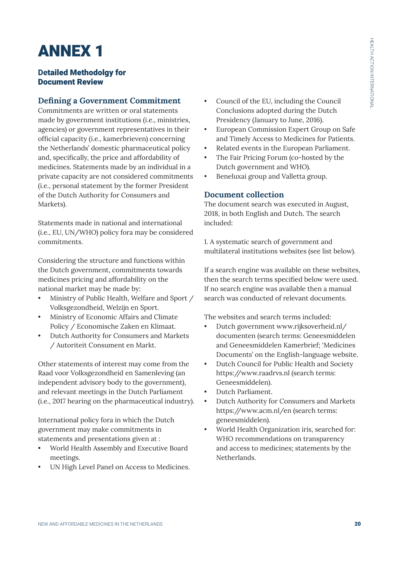# ANNEX 1

# **Detailed Methodolgy for** Document Review

# **Defining a Government Commitment**

Commitments are written or oral statements made by government institutions (i.e., ministries, agencies) or government representatives in their official capacity (i.e., kamerbrieven) concerning the Netherlands' domestic pharmaceutical policy and, specifically, the price and affordability of medicines. Statements made by an individual in a private capacity are not considered commitments (i.e., personal statement by the former President of the Dutch Authority for Consumers and Markets).

Statements made in national and international (i.e., EU, UN/WHO) policy fora may be considered commitments.

Considering the structure and functions within the Dutch government, commitments towards medicines pricing and affordability on the national market may be made by:

- Ministry of Public Health, Welfare and Sport / Volksgezondheid, Welzijn en Sport.
- Ministry of Economic Affairs and Climate Policy / Economische Zaken en Klimaat.
- Dutch Authority for Consumers and Markets / Autoriteit Consument en Markt.

Other statements of interest may come from the Raad voor Volksgezondheid en Samenleving (an independent advisory body to the government), and relevant meetings in the Dutch Parliament (i.e., 2017 hearing on the pharmaceutical industry).

International policy fora in which the Dutch government may make commitments in statements and presentations given at :

- World Health Assembly and Executive Board meetings.
- UN High Level Panel on Access to Medicines.
- Council of the EU, including the Council Conclusions adopted during the Dutch Presidency (January to June, 2016).
- European Commission Expert Group on Safe and Timely Access to Medicines for Patients.
- Related events in the European Parliament.
- The Fair Pricing Forum (co-hosted by the Dutch government and WHO).
- Beneluxai group and Valletta group.

# **Document collection**

The document search was executed in August, 2018, in both English and Dutch. The search included:

1. A systematic search of government and multilateral institutions websites (see list below).

If a search engine was available on these websites, then the search terms specified below were used. If no search engine was available then a manual search was conducted of relevant documents.

The websites and search terms included:

- Dutch government www.rijksoverheid.nl/ documenten (search terms: Geneesmiddelen and Geneesmiddelen Kamerbrief; 'Medicines Documents' on the English-language website.
- Dutch Council for Public Health and Society https://www.raadrvs.nl (search terms: Geneesmiddelen).
- Dutch Parliament.
- Dutch Authority for Consumers and Markets https://www.acm.nl/en (search terms: geneesmiddelen).
- World Health Organization iris, searched for: WHO recommendations on transparency and access to medicines; statements by the Netherlands.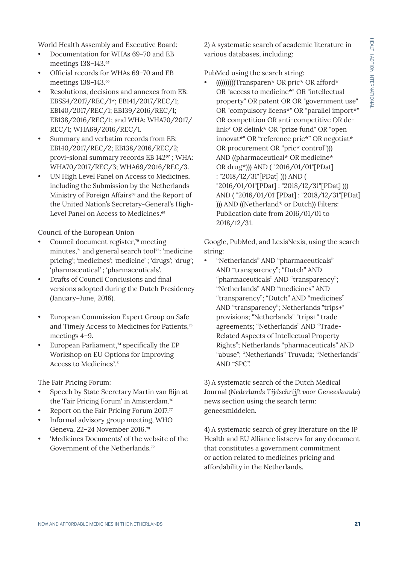World Health Assembly and Executive Board:

- Documentation for WHAs 69–70 and EB meetings 138-143.<sup>65</sup>
- Official records for WHAs 69–70 and EB meetings 138-143.<sup>66</sup>
- Resolutions, decisions and annexes from EB: EBSS4/2017/REC/1\*; EB141/2017/REC/1; EB140/2017/REC/1; EB139/2016/REC/1; EB138/2016/REC/1; and WHA: WHA70/2017/ REC/1; WHA69/2016/REC/1.
- Summary and verbatim records from EB: EB140/2017/REC/2; EB138/2016/REC/2; provi-sional summary records EB 142<sup>67</sup>; WHA: WHA70/2017/REC/3; WHA69/2016/REC/3.
- UN High Level Panel on Access to Medicines, including the Submission by the Netherlands Ministry of Foreign Affairs<sup>68</sup> and the Report of the United Nation's Secretary-General's High-Level Panel on Access to Medicines.<sup>69</sup>

Council of the European Union

- Council document register,<sup>70</sup> meeting minutes,<sup>71</sup> and general search tool<sup>72</sup>: 'medicine pricing'; 'medicines'; 'medicine' ; 'drugs'; 'drug'; 'pharmaceutical' ; 'pharmaceuticals'.
- Drafts of Council Conclusions and final versions adopted during the Dutch Presidency (January–June, 2016).
- European Commission Expert Group on Safe and Timely Access to Medicines for Patients,73 meetings 4–9.
- European Parliament,<sup>74</sup> specifically the EP Workshop on EU Options for Improving Access to Medicines<sup>7,5</sup>

The Fair Pricing Forum:

- Speech by State Secretary Martin van Rijn at the 'Fair Pricing Forum' in Amsterdam.76
- Report on the Fair Pricing Forum 2017.<sup>77</sup>
- Informal advisory group meeting, WHO Geneva, 22–24 November 2016.78
- 'Medicines Documents' of the website of the Government of the Netherlands.<sup>79</sup>

2) A systematic search of academic literature in various databases, including:

## PubMed using the search string:

• ((((((((((Transparen\* OR pric\* OR afford\* OR "access to medicine\*" OR "intellectual property" OR patent OR OR "government use" OR "compulsory licens\*" OR "parallel import\*" OR competition OR anti-competitive OR delink\* OR delink\* OR "prize fund" OR "open innovat\*" OR "reference pric\*" OR negotiat\* OR procurement OR "pric\* control"))) AND ((pharmaceutical\* OR medicine\* OR drug\*))) AND ( "2016/01/01"[PDat] : "2018/12/31"[PDat] ))) AND ( "2016/01/01"[PDat] : "2018/12/31"[PDat] ))) AND ( "2016/01/01"[PDat] : "2018/12/31"[PDat] ))) AND ((Netherland\* or Dutch)) Filters: Publication date from 2016/01/01 to 2018/12/31.

Google, PubMed, and LexisNexis, using the search string:

• "Netherlands" AND "pharmaceuticals" AND "transparency"; "Dutch" AND "pharmaceuticals" AND "transparency"; "Netherlands" AND "medicines" AND "transparency"; "Dutch" AND "medicines" AND "transparency"; Netherlands "trips+" provisions; "Netherlands" "trips+" trade agreements; "Netherlands" AND "Trade-Related Aspects of Intellectual Property Rights"; Netherlands "pharmaceuticals" AND "abuse"; "Netherlands" Truvada; "Netherlands" AND "SPC".

3) A systematic search of the Dutch Medical Journal (*Nederlands Tijdschrijft voor Geneeskunde*) news section using the search term: geneesmiddelen.

4) A systematic search of grey literature on the IP Health and EU Alliance listservs for any document that constitutes a government commitment or action related to medicines pricing and affordability in the Netherlands.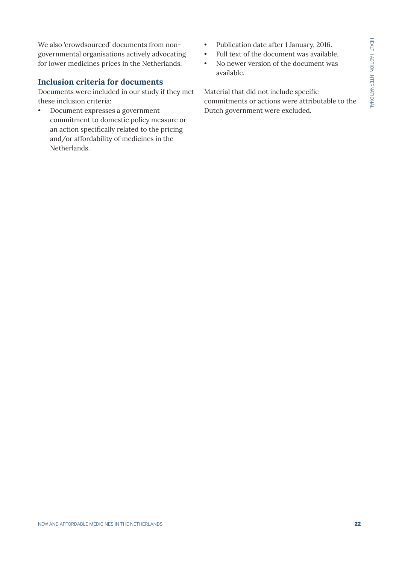We also 'crowdsourced' documents from nongovernmental organisations actively advocating for lower medicines prices in the Netherlands.

# **Inclusion criteria for documents**

Documents were included in our study if they met these inclusion criteria:

• Document expresses a government commitment to domestic policy measure or an action specifically related to the pricing and/or affordability of medicines in the Netherlands.

- Publication date after 1 January, 2016.
- Full text of the document was available.
- No newer version of the document was available.

Material that did not include specific commitments or actions were attributable to the Dutch government were excluded.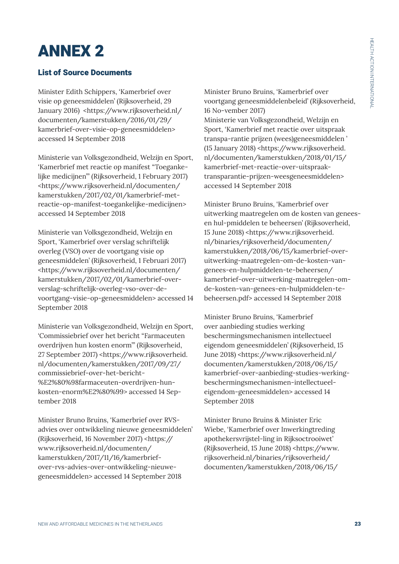# ANNEX 2

# List of Source Documents

Minister Edith Schippers, 'Kamerbrief over visie op geneesmiddelen' (Rijksoverheid, 29 January 2016) <https://www.rijksoverheid.nl/ documenten/kamerstukken/2016/01/29/ kamerbrief-over-visie-op-geneesmiddelen> accessed 14 September 2018

Ministerie van Volksgezondheid, Welzijn en Sport, 'Kamerbrief met reactie op manifest "Toegankelijke medicijnen"' (Rijksoverheid, 1 February 2017) <https://www.rijksoverheid.nl/documenten/ kamerstukken/2017/02/01/kamerbrief-metreactie-op-manifest-toegankelijke-medicijnen> accessed 14 September 2018

Ministerie van Volksgezondheid, Welzijn en Sport, 'Kamerbrief over verslag schriftelijk overleg (VSO) over de voortgang visie op geneesmiddelen' (Rijksoverheid, 1 Februari 2017) <https://www.rijksoverheid.nl/documenten/ kamerstukken/2017/02/01/kamerbrief-oververslag-schriftelijk-overleg-vso-over-devoortgang-visie-op-geneesmiddelen> accessed 14 September 2018

Ministerie van Volksgezondheid, Welzijn en Sport, 'Commissiebrief over het bericht "Farmaceuten overdrijven hun kosten enorm"' (Rijksoverheid, 27 September 2017) <https://www.rijksoverheid. nl/documenten/kamerstukken/2017/09/27/ commissiebrief-over-het-bericht- %E2%80%98farmaceuten-overdrijven-hunkosten-enorm%E2%80%99> accessed 14 September 2018

Minister Bruno Bruins, 'Kamerbrief over RVSadvies over ontwikkeling nieuwe geneesmiddelen' (Rijksoverheid, 16 November 2017) <https:// www.rijksoverheid.nl/documenten/ kamerstukken/2017/11/16/kamerbriefover-rvs-advies-over-ontwikkeling-nieuwegeneesmiddelen> accessed 14 September 2018

Minister Bruno Bruins, 'Kamerbrief over voortgang geneesmiddelenbeleid' (Rijksoverheid, 16 No-vember 2017)

Ministerie van Volksgezondheid, Welzijn en Sport, 'Kamerbrief met reactie over uitspraak transpa-rantie prijzen (wees)geneesmiddelen ' (15 January 2018) <https://www.rijksoverheid. nl/documenten/kamerstukken/2018/01/15/ kamerbrief-met-reactie-over-uitspraaktransparantie-prijzen-weesgeneesmiddelen> accessed 14 September 2018

Minister Bruno Bruins, 'Kamerbrief over uitwerking maatregelen om de kosten van geneesen hul-pmiddelen te beheersen' (Rijksoverheid, 15 June 2018) <https://www.rijksoverheid. nl/binaries/rijksoverheid/documenten/ kamerstukken/2018/06/15/kamerbrief-overuitwerking-maatregelen-om-de-kosten-vangenees-en-hulpmiddelen-te-beheersen/ kamerbrief-over-uitwerking-maatregelen-omde-kosten-van-genees-en-hulpmiddelen-tebeheersen.pdf> accessed 14 September 2018

Minister Bruno Bruins, 'Kamerbrief over aanbieding studies werking beschermingsmechanismen intellectueel eigendom geneesmiddelen' (Rijksoverheid, 15 June 2018) <https://www.rijksoverheid.nl/ documenten/kamerstukken/2018/06/15/ kamerbrief-over-aanbieding-studies-werkingbeschermingsmechanismen-intellectueeleigendom-geneesmiddelen> accessed 14 September 2018

Minister Bruno Bruins & Minister Eric Wiebe, 'Kamerbrief over Inwerkingtreding apothekersvrijstel-ling in Rijksoctrooiwet' (Rijksoverheid, 15 June 2018) <https://www. rijksoverheid.nl/binaries/rijksoverheid/ documenten/kamerstukken/2018/06/15/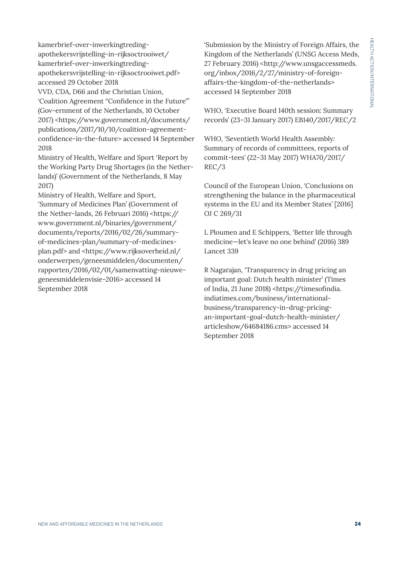kamerbrief-over-inwerkingtredingapothekersvrijstelling-in-rijksoctrooiwet/ kamerbrief-over-inwerkingtredingapothekersvrijstelling-in-rijksoctrooiwet.pdf> accessed 29 October 2018

VVD, CDA, D66 and the Christian Union, 'Coalition Agreement "Confidence in the Future"' (Gov-ernment of the Netherlands, 10 October 2017) <https://www.government.nl/documents/ publications/2017/10/10/coalition-agreementconfidence-in-the-future> accessed 14 September 2018

Ministry of Health, Welfare and Sport 'Report by the Working Party Drug Shortages (in the Netherlands)' (Government of the Netherlands, 8 May 2017)

Ministry of Health, Welfare and Sport, 'Summary of Medicines Plan' (Government of the Nether-lands, 26 Februari 2016) <https:// www.government.nl/binaries/government/ documents/reports/2016/02/26/summaryof-medicines-plan/summary-of-medicinesplan.pdf> and <https://www.rijksoverheid.nl/ onderwerpen/geneesmiddelen/documenten/ rapporten/2016/02/01/samenvatting-nieuwegeneesmiddelenvisie-2016> accessed 14 September 2018

'Submission by the Ministry of Foreign Affairs, the Kingdom of the Netherlands' (UNSG Access Meds, 27 February 2016) <http://www.unsgaccessmeds. org/inbox/2016/2/27/ministry-of-foreignaffairs-the-kingdom-of-the-netherlands> accessed 14 September 2018

WHO, 'Executive Board 140th session: Summary records' (23–31 January 2017) EB140/2017/REC/2

WHO, 'Seventieth World Health Assembly: Summary of records of committees, reports of commit-tees' (22–31 May 2017) WHA70/2017/ REC/3

Council of the European Union, 'Conclusions on strengthening the balance in the pharmaceutical systems in the EU and its Member States' [2016] OJ C 269/31

L Ploumen and E Schippers, 'Better life through medicine—let's leave no one behind' (2016) 389 Lancet 339

R Nagarajan, 'Transparency in drug pricing an important goal: Dutch health minister' (Times of India, 21 June 2018) <https://timesofindia. indiatimes.com/business/internationalbusiness/transparency-in-drug-pricingan-important-goal-dutch-health-minister/ articleshow/64684186.cms> accessed 14 September 2018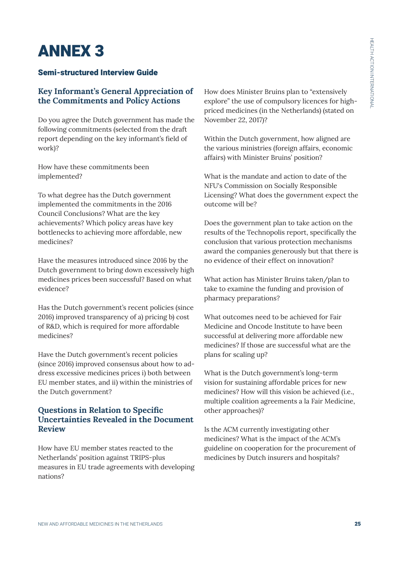# ANNEX 3

# Semi-structured Interview Guide

# **Key Informant's General Appreciation of the Commitments and Policy Actions**

Do you agree the Dutch government has made the following commitments (selected from the draft report depending on the key informant's field of work)?

How have these commitments been implemented?

To what degree has the Dutch government implemented the commitments in the 2016 Council Conclusions? What are the key achievements? Which policy areas have key bottlenecks to achieving more affordable, new medicines?

Have the measures introduced since 2016 by the Dutch government to bring down excessively high medicines prices been successful? Based on what evidence?

Has the Dutch government's recent policies (since 2016) improved transparency of a) pricing b) cost of R&D, which is required for more affordable medicines?

Have the Dutch government's recent policies (since 2016) improved consensus about how to address excessive medicines prices i) both between EU member states, and ii) within the ministries of the Dutch government?

# **Questions in Relation to Specific Uncertainties Revealed in the Document Review**

How have EU member states reacted to the Netherlands' position against TRIPS-plus measures in EU trade agreements with developing nations?

How does Minister Bruins plan to "extensively explore" the use of compulsory licences for highpriced medicines (in the Netherlands) (stated on November 22, 2017)?

Within the Dutch government, how aligned are the various ministries (foreign affairs, economic affairs) with Minister Bruins' position?

What is the mandate and action to date of the NFU's Commission on Socially Responsible Licensing? What does the government expect the outcome will be?

Does the government plan to take action on the results of the Technopolis report, specifically the conclusion that various protection mechanisms award the companies generously but that there is no evidence of their effect on innovation?

What action has Minister Bruins taken/plan to take to examine the funding and provision of pharmacy preparations?

What outcomes need to be achieved for Fair Medicine and Oncode Institute to have been successful at delivering more affordable new medicines? If those are successful what are the plans for scaling up?

What is the Dutch government's long-term vision for sustaining affordable prices for new medicines? How will this vision be achieved (i.e., multiple coalition agreements a la Fair Medicine, other approaches)?

Is the ACM currently investigating other medicines? What is the impact of the ACM's guideline on cooperation for the procurement of medicines by Dutch insurers and hospitals?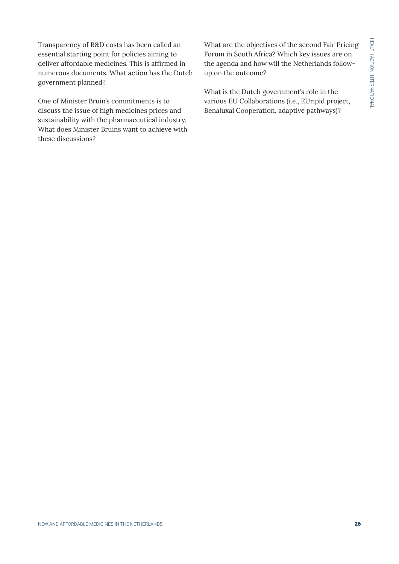Transparency of R&D costs has been called an essential starting point for policies aiming to deliver affordable medicines. This is affirmed in numerous documents. What action has the Dutch government planned?

One of Minister Bruin's commitments is to discuss the issue of high medicines prices and sustainability with the pharmaceutical industry. What does Minister Bruins want to achieve with these discussions?

What are the objectives of the second Fair Pricing Forum in South Africa? Which key issues are on the agenda and how will the Netherlands followup on the outcome?

What is the Dutch government's role in the various EU Collaborations (i.e., EUripid project, Benaluxai Cooperation, adaptive pathways)?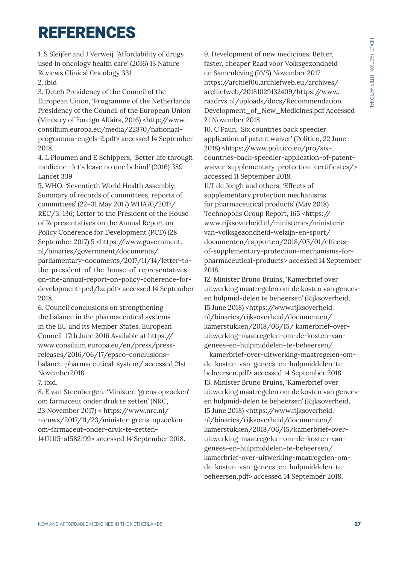# REFERENCES

1. S Sleijfer and J Verweij, 'Affordability of drugs used in oncology health care' (2016) 13 Nature Reviews Clinical Oncology 331

2. ibid

3. Dutch Presidency of the Council of the European Union, 'Programme of the Netherlands Presidency of the Council of the European Union' (Ministry of Foreign Affairs, 2016) <http://www. consilium.europa.eu/media/22870/nationaalprogramma-engels-2.pdf> accessed 14 September 2018.

4. L Ploumen and E Schippers, 'Better life through medicine—let's leave no one behind' (2016) 389 Lancet 339

5. WHO, 'Seventieth World Health Assembly: Summary of records of committees, reports of committees' (22–31 May 2017) WHA70/2017/ REC/3, 136; Letter to the President of the House of Representatives on the Annual Report on Policy Coherence for Development (PCD) (28 September 2017) 5 <https://www.government. nl/binaries/government/documents/ parliamentary-documents/2017/11/14/letter-tothe-president-of-the-house-of-representativeson-the-annual-report-on-policy-coherence-fordevelopment-pcd/bz.pdf> accessed 14 September 2018.

6. Council conclusions on strengthening the balance in the pharmaceutical systems in the EU and its Member States. European Council 17th June 2016 Available at https:// www.consilium.europa.eu/en/press/pressreleases/2016/06/17/epsco-conclusionsbalance-pharmaceutical-system/ accessed 21st November2018

7. ibid.

8. E van Steenbergen, 'Minister: 'grens opzoeken' om farmaceut onder druk te zetten' (NRC, 23 November 2017) < https://www.nrc.nl/ nieuws/2017/11/23/minister-grens-opzoekenom-farmaceut-onder-druk-te-zetten-14171115-a1582199> accessed 14 September 2018.

9. Development of new medicines. Better, faster, cheaper Raad voor Volksgezondheid en Samenleving (RVS) November 2017 https://archief06.archiefweb.eu/archives/ archiefweb/20181029132409/https://www. raadrvs.nl/uploads/docs/Recommendation\_ Development\_of\_New\_Medicines.pdf Accessed 21 November 2018 10. C Paun, 'Six countries back speedier application of patent waiver' (Politico, 22 June 2018) <https://www.politico.eu/pro/sixcountries-back-speedier-application-of-patentwaiver-supplementary-protection-certificates/> accessed 11 September 2018. 11.T de Jongh and others, 'Effects of supplementary protection mechanisms for pharmaceutical products' (May 2018) Technopolis Group Report, 165 <https:// www.rijksoverheid.nl/ministeries/ministerievan-volksgezondheid-welzijn-en-sport/ documenten/rapporten/2018/05/01/effectsof-supplementary-protection-mechanisms-forpharmaceutical-products> accessed 14 September 2018.

12. Minister Bruno Bruins, 'Kamerbrief over uitwerking maatregelen om de kosten van geneesen hulpmid-delen te beheersen' (Rijksoverheid, 15 June 2018) <https://www.rijksoverheid. nl/binaries/rijksoverheid/documenten/ kamerstukken/2018/06/15/ kamerbrief-overuitwerking-maatregelen-om-de-kosten-vangenees-en-hulpmiddelen-te-beheersen/

 kamerbrief-over-uitwerking-maatregelen-omde-kosten-van-genees-en-hulpmiddelen-tebeheersen.pdf> accessed 14 September 2018 13. Minister Bruno Bruins, 'Kamerbrief over uitwerking maatregelen om de kosten van geneesen hulpmid-delen te beheersen' (Rijksoverheid, 15 June 2018) <https://www.rijksoverheid. nl/binaries/rijksoverheid/documenten/ kamerstukken/2018/06/15/kamerbrief-overuitwerking-maatregelen-om-de-kosten-vangenees-en-hulpmiddelen-te-beheersen/ kamerbrief-over-uitwerking-maatregelen-omde-kosten-van-genees-en-hulpmiddelen-tebeheersen.pdf> accessed 14 September 2018.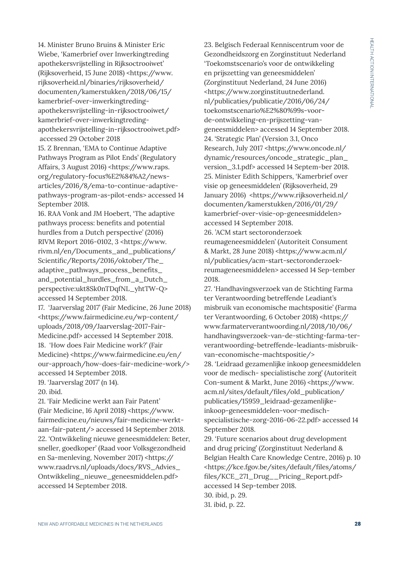14. Minister Bruno Bruins & Minister Eric Wiebe, 'Kamerbrief over Inwerkingtreding apothekersvrijstelling in Rijksoctrooiwet' (Rijksoverheid, 15 June 2018) <https://www. rijksoverheid.nl/binaries/rijksoverheid/ documenten/kamerstukken/2018/06/15/ kamerbrief-over-inwerkingtredingapothekersvrijstelling-in-rijksoctrooiwet/ kamerbrief-over-inwerkingtredingapothekersvrijstelling-in-rijksoctrooiwet.pdf> accessed 29 October 2018

15. Z Brennan, 'EMA to Continue Adaptive Pathways Program as Pilot Ends' (Regulatory Affairs, 3 August 2016) <https://www.raps. org/regulatory-focus%E2%84%A2/newsarticles/2016/8/ema-to-continue-adaptivepathways-program-as-pilot-ends> accessed 14 September 2018.

16. RAA Vonk and JM Hoebert, 'The adaptive pathways process: benefits and potential hurdles from a Dutch perspective' (2016) RIVM Report 2016-0102, 3 <https://www. rivm.nl/en/Documents\_and\_publications/ Scientific/Reports/2016/oktober/The\_ adaptive\_pathways\_process\_benefits\_ and\_potential\_hurdles\_from\_a\_Dutch\_ perspective:ukt8Sk0nTDqfNL\_yhtTW-Q> accessed 14 September 2018.

17. 'Jaarverslag 2017' (Fair Medicine, 26 June 2018) <https://www.fairmedicine.eu/wp-content/ uploads/2018/09/Jaarverslag-2017-Fair-Medicine.pdf> accessed 14 September 2018. 18. 'How does Fair Medicine work?' (Fair Medicine) <https://www.fairmedicine.eu/en/ our-approach/how-does-fair-medicine-work/> accessed 14 September 2018.

19. 'Jaarverslag 2017' (n 14).

20. ibid.

21. 'Fair Medicine werkt aan Fair Patent' (Fair Medicine, 16 April 2018) <https://www. fairmedicine.eu/nieuws/fair-medicine-werktaan-fair-patent/> accessed 14 September 2018. 22. 'Ontwikkeling nieuwe geneesmiddelen: Beter, sneller, goedkoper' (Raad voor Volksgezondheid en Sa-menleving, November 2017) <https:// www.raadrvs.nl/uploads/docs/RVS\_Advies\_ Ontwikkeling\_nieuwe\_geneesmiddelen.pdf> accessed 14 September 2018.

23. Belgisch Federaal Kenniscentrum voor de Gezondheidszorg en Zorginstituut Nederland 'Toekomstscenario's voor de ontwikkeling en prijszetting van geneesmiddelen' (Zorginstituut Nederland, 24 June 2016) <https://www.zorginstituutnederland. nl/publicaties/publicatie/2016/06/24/ toekomstscenario%E2%80%99s-voorde-ontwikkeling-en-prijszetting-vangeneesmiddelen> accessed 14 September 2018. 24. 'Strategic Plan' (Version 3.1, Onco Research, July 2017 <https://www.oncode.nl/ dynamic/resources/oncode\_strategic\_plan\_ version\_3.1.pdf> accessed 14 Septem-ber 2018. 25. Minister Edith Schippers, 'Kamerbrief over visie op geneesmiddelen' (Rijksoverheid, 29 January 2016) <https://www.rijksoverheid.nl/ documenten/kamerstukken/2016/01/29/ kamerbrief-over-visie-op-geneesmiddelen> accessed 14 September 2018.

26. 'ACM start sectoronderzoek reumageneesmiddelen' (Autoriteit Consument & Markt, 28 June 2018) <https://www.acm.nl/ nl/publicaties/acm-start-sectoronderzoekreumageneesmiddelen> accessed 14 Sep-tember 2018.

27. 'Handhavingsverzoek van de Stichting Farma ter Verantwoording betreffende Leadiant's misbruik van economische machtspositie' (Farma ter Verantwoording, 6 October 2018) <https:// www.farmaterverantwoording.nl/2018/10/06/ handhavingsverzoek-van-de-stichting-farma-terverantwoording-betreffende-leadiants-misbruikvan-economische-machtspositie/> 28. 'Leidraad gezamenlijke inkoop geneesmiddelen voor de medisch- specialistische zorg' (Autoriteit Con-sument & Markt, June 2016) <https://www. acm.nl/sites/default/files/old\_publication/ publicaties/15959\_leidraad-gezamenlijkeinkoop-geneesmiddelen-voor-medischspecialistische-zorg-2016-06-22.pdf> accessed 14 September 2018.

29. 'Future scenarios about drug development and drug pricing' (Zorginstituut Nederland & Belgian Health Care Knowledge Centre, 2016) p. 10 <https://kce.fgov.be/sites/default/files/atoms/ files/KCE\_271\_Drug\_\_Pricing\_Report.pdf> accessed 14 Sep-tember 2018.

30. ibid, p. 29. 31. ibid, p. 22.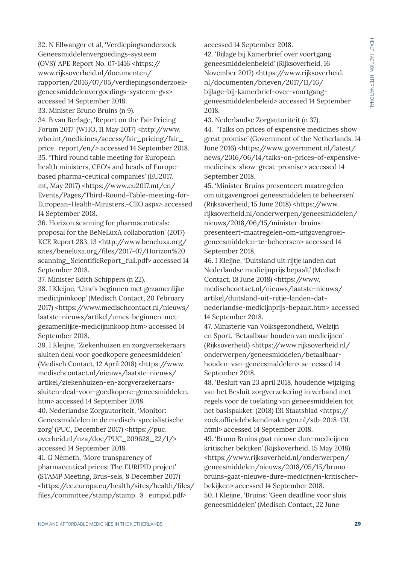32. N Ellwanger et al, 'Verdiepingsonderzoek Geneesmiddelenvergoedings-systeem (GVS)' APE Report No. 07-1416 <https:// www.rijksoverheid.nl/documenten/ rapporten/2016/07/05/verdiepingsonderzoekgeneesmiddelenvergoedings-systeem-gvs> accessed 14 September 2018.

33. Minister Bruno Bruins (n 9).

34. B van Berlage, 'Report on the Fair Pricing Forum 2017' (WHO, 11 May 2017) <http://www. who.int/medicines/access/fair\_pricing/fair\_ price\_report/en/> accessed 14 September 2018. 35. 'Third round table meeting for European health ministers, CEO's and heads of Europebased pharma-ceutical companies' (EU2017. mt, May 2017) <https://www.eu2017.mt/en/ Events/Pages/Third-Round-Table-meeting-for-European-Health-Ministers,-CEO.aspx> accessed 14 September 2018.

36. Horizon scanning for pharmaceuticals: proposal for the BeNeLuxA collaboration' (2017) KCE Report 283, 13 <http://www.beneluxa.org/ sites/beneluxa.org/files/2017-07/Horizon%20 scanning ScientificReport full.pdf> accessed 14 September 2018.

37. Minister Edith Schippers (n 22).

38. I Kleijne, 'Umc's beginnen met gezamenlijke medicijninkoop' (Medisch Contact, 20 February 2017) <https://www.medischcontact.nl/nieuws/ laatste-nieuws/artikel/umcs-beginnen-metgezamenlijke-medicijninkoop.htm> accessed 14 September 2018.

39. I Kleijne, 'Ziekenhuizen en zorgverzekeraars sluiten deal voor goedkopere geneesmiddelen' (Medisch Contact, 12 April 2018) <https://www. medischcontact.nl/nieuws/laatste-nieuws/ artikel/ziekenhuizen-en-zorgverzekeraarssluiten-deal-voor-goedkopere-geneesmiddelen. htm> accessed 14 September 2018.

40. Nederlandse Zorgautoriteit, 'Monitor: Geneesmiddelen in de medisch-specialistische zorg' (PUC, December 2017) <https://puc. overheid.nl/nza/doc/PUC\_209628\_22/1/> accessed 14 September 2018.

41. G Németh, 'More transparency of pharmaceutical prices: The EURIPID project' (STAMP Meeting, Brus-sels, 8 December 2017) <https://ec.europa.eu/health/sites/health/files/ files/committee/stamp/stamp\_8\_euripid.pdf>

accessed 14 September 2018.

42. 'Bijlage bij Kamerbrief over voortgang geneesmiddelenbeleid' (Rijksoverheid, 16 November 2017) <https://www.rijksoverheid. nl/documenten/brieven/2017/11/16/ bijlage-bij-kamerbrief-over-voortganggeneesmiddelenbeleid> accessed 14 September 2018.

43. Nederlandse Zorgautoriteit (n 37). 44. 'Talks on prices of expensive medicines show great promise' (Government of the Netherlands, 14 June 2016) <https://www.government.nl/latest/ news/2016/06/14/talks-on-prices-of-expensivemedicines-show-great-promise> accessed 14 September 2018.

45. 'Minister Bruins presenteert maatregelen om uitgavengroei geneesmiddelen te beheersen' (Rijksoverheid, 15 June 2018) <https://www. rijksoverheid.nl/onderwerpen/geneesmiddelen/ nieuws/2018/06/15/minister-bruinspresenteert-maatregelen-om-uitgavengroeigeneesmiddelen-te-beheersen> accessed 14 September 2018.

46. I Kleijne, 'Duitsland uit rijtje landen dat Nederlandse medicijnprijs bepaalt' (Medisch Contact, 18 June 2018) <https://www. medischcontact.nl/nieuws/laatste-nieuws/ artikel/duitsland-uit-rijtje-landen-datnederlandse-medicijnprijs-bepaalt.htm> accessed 14 September 2018.

47. Ministerie van Volksgezondheid, Welzijn en Sport, 'Betaalbaar houden van medicijnen' (Rijksoverheid) <https://www.rijksoverheid.nl/ onderwerpen/geneesmiddelen/betaalbaarhouden-van-geneesmiddelen> ac-cessed 14 September 2018.

48. 'Besluit van 23 april 2018, houdende wijziging van het Besluit zorgverzekering in verband met regels voor de toelating van geneesmiddelen tot het basispakket' (2018) 131 Staatsblad <https:// zoek.officielebekendmakingen.nl/stb-2018-131. html> accessed 14 September 2018.

49. 'Bruno Bruins gaat nieuwe dure medicijnen kritischer bekijken' (Rijskoverheid, 15 May 2018) <https://www.rijksoverheid.nl/onderwerpen/ geneesmiddelen/nieuws/2018/05/15/brunobruins-gaat-nieuwe-dure-medicijnen-kritischerbekijken> accessed 14 September 2018. 50. I Kleijne, 'Bruins: 'Geen deadline voor sluis geneesmiddelen' (Medisch Contact, 22 June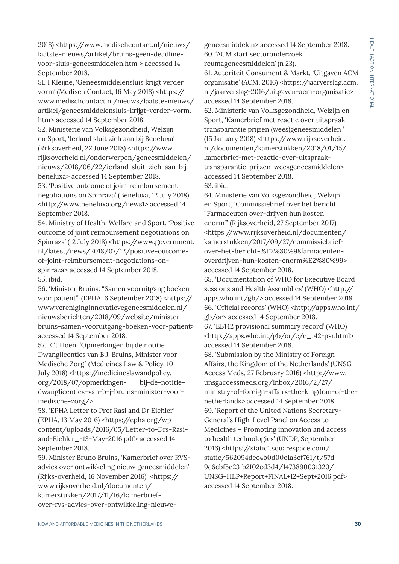2018) <https://www.medischcontact.nl/nieuws/ laatste-nieuws/artikel/bruins-geen-deadlinevoor-sluis-geneesmiddelen.htm > accessed 14 September 2018.

51. I Kleijne, 'Geneesmiddelensluis krijgt verder vorm' (Medisch Contact, 16 May 2018) <https:// www.medischcontact.nl/nieuws/laatste-nieuws/ artikel/geneesmiddelensluis-krijgt-verder-vorm. htm> accessed 14 September 2018.

52. Ministerie van Volksgezondheid, Welzijn en Sport, 'Ierland sluit zich aan bij Beneluxa' (Rijksoverheid, 22 June 2018) <https://www. rijksoverheid.nl/onderwerpen/geneesmiddelen/ nieuws/2018/06/22/ierland-sluit-zich-aan-bijbeneluxa> accessed 14 September 2018.

53. 'Positive outcome of joint reimbursement negotiations on Spinraza' (Beneluxa, 12 July 2018) <http://www.beneluxa.org/news1> accessed 14 September 2018.

54. Ministry of Health, Welfare and Sport, 'Positive outcome of joint reimbursement negotiations on Spinraza' (12 July 2018) <https://www.government. nl/latest/news/2018/07/12/positive-outcomeof-joint-reimbursement-negotiations-onspinraza> accessed 14 September 2018. 55. ibid.

56. 'Minister Bruins: "Samen vooruitgang boeken voor patiënt"' (EPHA, 6 September 2018) <https:// www.vereniginginnovatievegeneesmiddelen.nl/ nieuwsberichten/2018/09/website/ministerbruins-samen-vooruitgang-boeken-voor-patient> accessed 14 September 2018.

57. E 't Hoen. 'Opmerkingen bij de notitie Dwanglicenties van B.J. Bruins, Minister voor Medische Zorg.' (Medicines Law & Policy, 10 July 2018) <https://medicineslawandpolicy. org/2018/07/opmerkingen- bij-de-notitiedwanglicenties-van-b-j-bruins-minister-voormedische-zorg/>

58. 'EPHA Letter to Prof Rasi and Dr Eichler' (EPHA, 13 May 2016) <https://epha.org/wpcontent/uploads/2016/05/Letter-to-Drs-Rasiand-Eichler\_-13-May-2016.pdf> accessed 14 September 2018.

59. Minister Bruno Bruins, 'Kamerbrief over RVSadvies over ontwikkeling nieuw geneesmiddelen' (Rijks-overheid, 16 November 2016) <https:// www.rijksoverheid.nl/documenten/ kamerstukken/2017/11/16/kamerbriefover-rvs-advies-over-ontwikkeling-nieuwegeneesmiddelen> accessed 14 September 2018. 60. 'ACM start sectoronderzoek reumageneesmiddelen' (n 23). 61. Autoriteit Consument & Markt, 'Uitgaven ACM organisatie' (ACM, 2016) <https://jaarverslag.acm.

nl/jaarverslag-2016/uitgaven-acm-organisatie> accessed 14 September 2018.

62. Ministerie van Volksgezondheid, Welzijn en Sport, 'Kamerbrief met reactie over uitspraak transparantie prijzen (wees)geneesmiddelen ' (15 January 2018) <https://www.rijksoverheid. nl/documenten/kamerstukken/2018/01/15/ kamerbrief-met-reactie-over-uitspraaktransparantie-prijzen-weesgeneesmiddelen> accessed 14 September 2018. 63. ibid.

64. Ministerie van Volksgezondheid, Welzijn en Sport, 'Commissiebrief over het bericht "Farmaceuten over-drijven hun kosten enorm"' (Rijksoverheid, 27 September 2017) <https://www.rijksoverheid.nl/documenten/ kamerstukken/2017/09/27/commissiebriefover-het-bericht-%E2%80%98farmaceutenoverdrijven-hun-kosten-enorm%E2%80%99> accessed 14 September 2018.

65. 'Documentation of WHO for Executive Board sessions and Health Assemblies' (WHO) <http:// apps.who.int/gb/> accessed 14 September 2018. 66. 'Official records' (WHO) <http://apps.who.int/ gb/or> accessed 14 September 2018. 67. 'EB142 provisional summary record' (WHO) <http://apps.who.int/gb/or/e/e\_142-psr.html> accessed 14 September 2018. 68. 'Submission by the Ministry of Foreign Affairs, the Kingdom of the Netherlands' (UNSG Access Meds, 27 February 2016) <http://www. unsgaccessmeds.org/inbox/2016/2/27/ ministry-of-foreign-affairs-the-kingdom-of-thenetherlands> accessed 14 September 2018. 69. 'Report of the United Nations Secretary-General's High-Level Panel on Access to Medicines – Promoting innovation and access to health technologies' (UNDP, September 2016) <https://static1.squarespace.com/ static/562094dee4b0d00c1a3ef761/t/57d 9c6ebf5e231b2f02cd3d4/1473890031320/ UNSG+HLP+Report+FINAL+12+Sept+2016.pdf> accessed 14 September 2018.